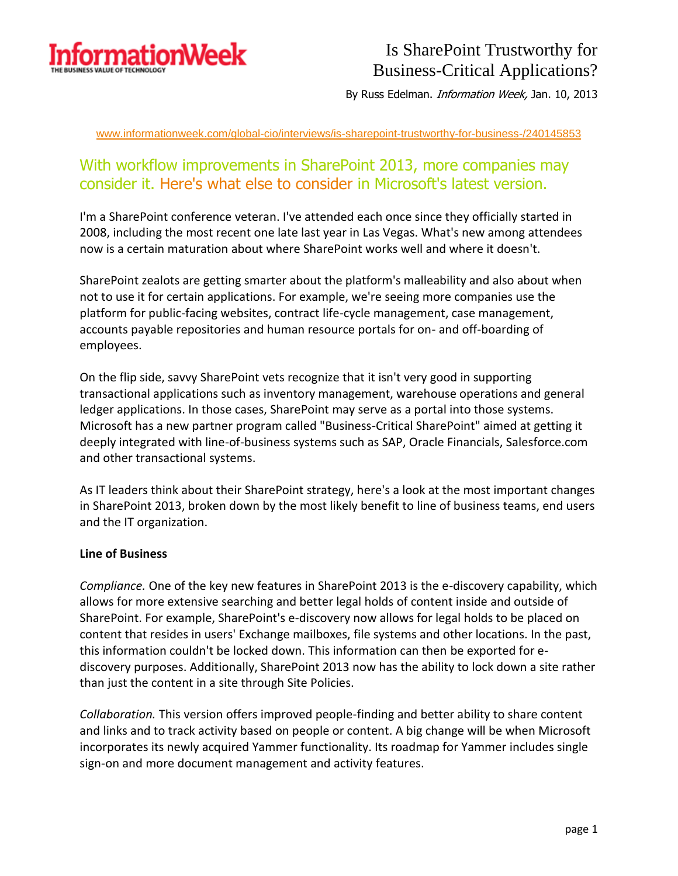

By Russ Edelman. *Information Week*, Jan. 10, 2013

[www.informationweek.com/global-cio/interviews/is-sharepoint-trustworthy-for-business-/240145853](http://www.informationweek.com/global-cio/interviews/is-sharepoint-trustworthy-for-business-/240145853)

### With workflow improvements in SharePoint 2013, more companies may consider it. Here's what else to consider in Microsoft's latest version.

I'm a SharePoint conference veteran. I've attended each once since they officially started in 2008, including the most recent one late last year in Las Vegas. What's new among attendees now is a certain maturation about where SharePoint works well and where it doesn't.

SharePoint zealots are getting smarter about the platform's malleability and also about when not to use it for certain applications. For example, we're seeing more companies use the platform for public-facing websites, contract life-cycle management, case management, accounts payable repositories and human resource portals for on- and off-boarding of employees.

On the flip side, savvy SharePoint vets recognize that it isn't very good in supporting transactional applications such as inventory management, warehouse operations and general ledger applications. In those cases, SharePoint may serve as a portal into those systems. Microsoft has a new partner program called "Business-Critical SharePoint" aimed at getting it deeply integrated with line-of-business systems such as SAP, Oracle Financials, Salesforce.com and other transactional systems.

As IT leaders think about their SharePoint strategy, here's a look at the most important changes in SharePoint 2013, broken down by the most likely benefit to line of business teams, end users and the IT organization.

#### **Line of Business**

*Compliance.* One of the key new features in SharePoint 2013 is the e-discovery capability, which allows for more extensive searching and better legal holds of content inside and outside of SharePoint. For example, SharePoint's e-discovery now allows for legal holds to be placed on content that resides in users' Exchange mailboxes, file systems and other locations. In the past, this information couldn't be locked down. This information can then be exported for ediscovery purposes. Additionally, SharePoint 2013 now has the ability to lock down a site rather than just the content in a site through Site Policies.

*Collaboration.* This version offers improved people-finding and better ability to share content and links and to track activity based on people or content. A big change will be when Microsoft incorporates its newly acquired Yammer functionality. Its roadmap for Yammer includes single sign-on and more document management and activity features.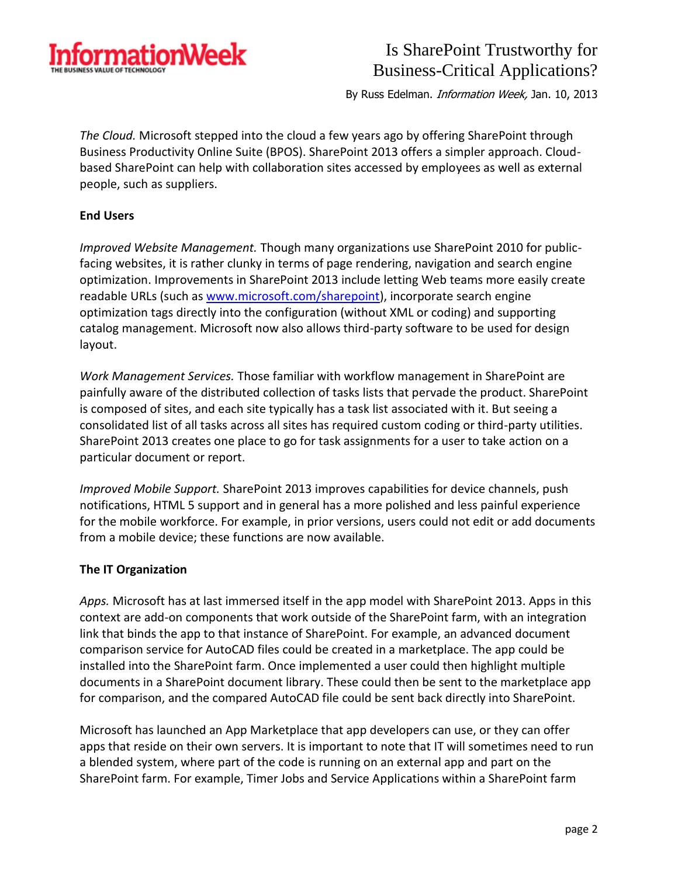

By Russ Edelman. *Information Week*, Jan. 10, 2013

*The Cloud.* Microsoft stepped into the cloud a few years ago by offering SharePoint through Business Productivity Online Suite (BPOS). SharePoint 2013 offers a simpler approach. Cloudbased SharePoint can help with collaboration sites accessed by employees as well as external people, such as suppliers.

#### **End Users**

*Improved Website Management.* Though many organizations use SharePoint 2010 for publicfacing websites, it is rather clunky in terms of page rendering, navigation and search engine optimization. Improvements in SharePoint 2013 include letting Web teams more easily create readable URLs (such as [www.microsoft.com/sharepoint\)](http://www.microsoft.com/sharepoint), incorporate search engine optimization tags directly into the configuration (without XML or coding) and supporting catalog management. Microsoft now also allows third-party software to be used for design layout.

*Work Management Services.* Those familiar with workflow management in SharePoint are painfully aware of the distributed collection of tasks lists that pervade the product. SharePoint is composed of sites, and each site typically has a task list associated with it. But seeing a consolidated list of all tasks across all sites has required custom coding or third-party utilities. SharePoint 2013 creates one place to go for task assignments for a user to take action on a particular document or report.

*Improved Mobile Support.* SharePoint 2013 improves capabilities for device channels, push notifications, HTML 5 support and in general has a more polished and less painful experience for the mobile workforce. For example, in prior versions, users could not edit or add documents from a mobile device; these functions are now available.

#### **The IT Organization**

*Apps.* Microsoft has at last immersed itself in the app model with SharePoint 2013. Apps in this context are add-on components that work outside of the SharePoint farm, with an integration link that binds the app to that instance of SharePoint. For example, an advanced document comparison service for AutoCAD files could be created in a marketplace. The app could be installed into the SharePoint farm. Once implemented a user could then highlight multiple documents in a SharePoint document library. These could then be sent to the marketplace app for comparison, and the compared AutoCAD file could be sent back directly into SharePoint.

Microsoft has launched an App Marketplace that app developers can use, or they can offer apps that reside on their own servers. It is important to note that IT will sometimes need to run a blended system, where part of the code is running on an external app and part on the SharePoint farm. For example, Timer Jobs and Service Applications within a SharePoint farm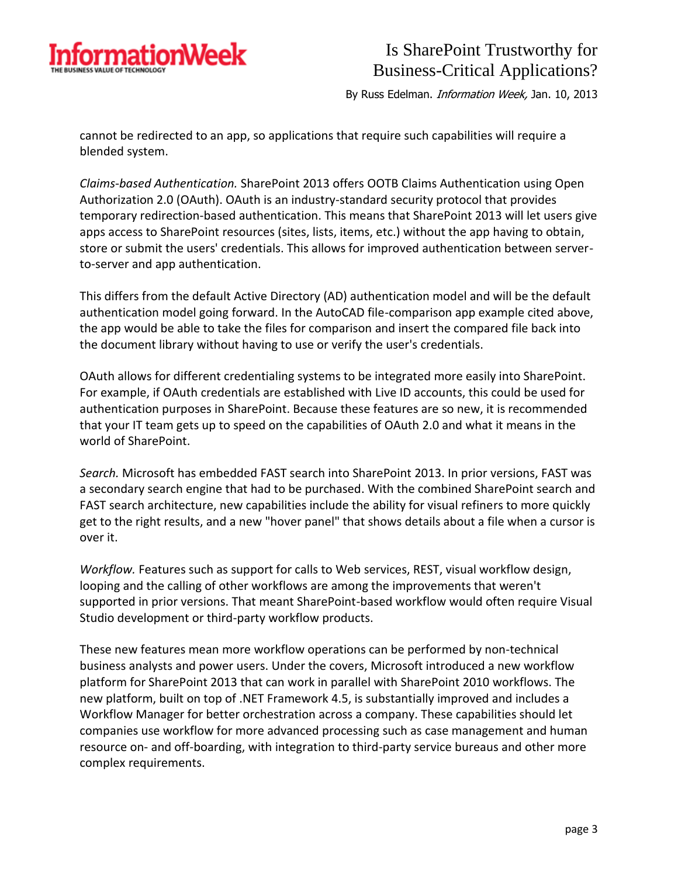

By Russ Edelman. *Information Week*, Jan. 10, 2013

cannot be redirected to an app, so applications that require such capabilities will require a blended system.

*Claims-based Authentication.* SharePoint 2013 offers OOTB Claims Authentication using Open Authorization 2.0 (OAuth). OAuth is an industry-standard security protocol that provides temporary redirection-based authentication. This means that SharePoint 2013 will let users give apps access to SharePoint resources (sites, lists, items, etc.) without the app having to obtain, store or submit the users' credentials. This allows for improved authentication between serverto-server and app authentication.

This differs from the default Active Directory (AD) authentication model and will be the default authentication model going forward. In the AutoCAD file-comparison app example cited above, the app would be able to take the files for comparison and insert the compared file back into the document library without having to use or verify the user's credentials.

OAuth allows for different credentialing systems to be integrated more easily into SharePoint. For example, if OAuth credentials are established with Live ID accounts, this could be used for authentication purposes in SharePoint. Because these features are so new, it is recommended that your IT team gets up to speed on the capabilities of OAuth 2.0 and what it means in the world of SharePoint.

*Search.* Microsoft has embedded FAST search into SharePoint 2013. In prior versions, FAST was a secondary search engine that had to be purchased. With the combined SharePoint search and FAST search architecture, new capabilities include the ability for visual refiners to more quickly get to the right results, and a new "hover panel" that shows details about a file when a cursor is over it.

*Workflow.* Features such as support for calls to Web services, REST, visual workflow design, looping and the calling of other workflows are among the improvements that weren't supported in prior versions. That meant SharePoint-based workflow would often require Visual Studio development or third-party workflow products.

These new features mean more workflow operations can be performed by non-technical business analysts and power users. Under the covers, Microsoft introduced a new workflow platform for SharePoint 2013 that can work in parallel with SharePoint 2010 workflows. The new platform, built on top of .NET Framework 4.5, is substantially improved and includes a Workflow Manager for better orchestration across a company. These capabilities should let companies use workflow for more advanced processing such as case management and human resource on- and off-boarding, with integration to third-party service bureaus and other more complex requirements.